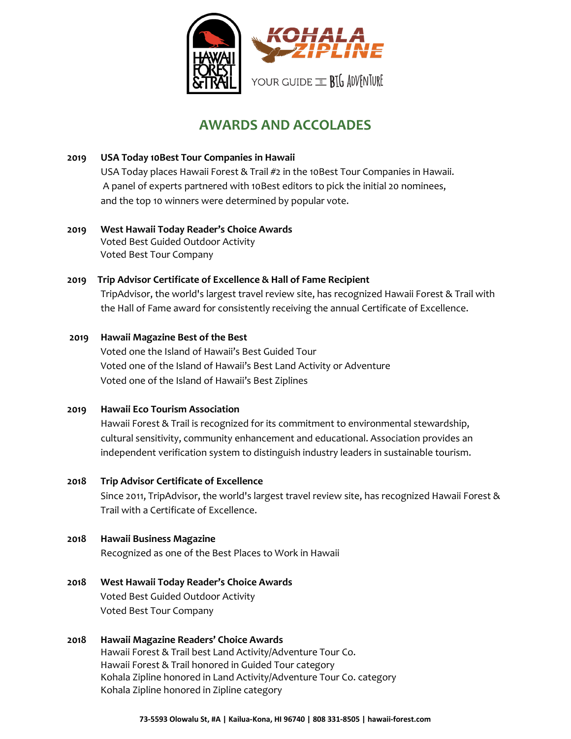

# **AWARDS AND ACCOLADES**

- **2019 USA Today 10Best Tour Companies in Hawaii** USA Today places Hawaii Forest & Trail #2 in the 10Best Tour Companies in Hawaii. A panel of experts partnered with 10Best editors to pick the initial 20 nominees, and the top 10 winners were determined by popular vote.
- **2019 West Hawaii Today Reader's Choice Awards** Voted Best Guided Outdoor Activity Voted Best Tour Company

## **2019 Trip Advisor Certificate of Excellence & Hall of Fame Recipient** TripAdvisor, the world's largest travel review site, has recognized Hawaii Forest & Trail with the Hall of Fame award for consistently receiving the annual Certificate of Excellence.

## **2019 Hawaii Magazine Best of the Best** Voted one the Island of Hawaii's Best Guided Tour Voted one of the Island of Hawaii's Best Land Activity or Adventure Voted one of the Island of Hawaii's Best Ziplines

**2019 Hawaii Eco Tourism Association** Hawaii Forest & Trail is recognized for its commitment to environmental stewardship,

cultural sensitivity, community enhancement and educational. Association provides an independent verification system to distinguish industry leaders in sustainable tourism.

### **2018 Trip Advisor Certificate of Excellence**

Since 2011, TripAdvisor, the world's largest travel review site, has recognized Hawaii Forest & Trail with a Certificate of Excellence.

### **2018 Hawaii Business Magazine**

Recognized as one of the Best Places to Work in Hawaii

- **2018 West Hawaii Today Reader's Choice Awards** Voted Best Guided Outdoor Activity Voted Best Tour Company
- **2018 Hawaii Magazine Readers' Choice Awards** Hawaii Forest & Trail best Land Activity/Adventure Tour Co. Hawaii Forest & Trail honored in Guided Tour category Kohala Zipline honored in Land Activity/Adventure Tour Co. category Kohala Zipline honored in Zipline category